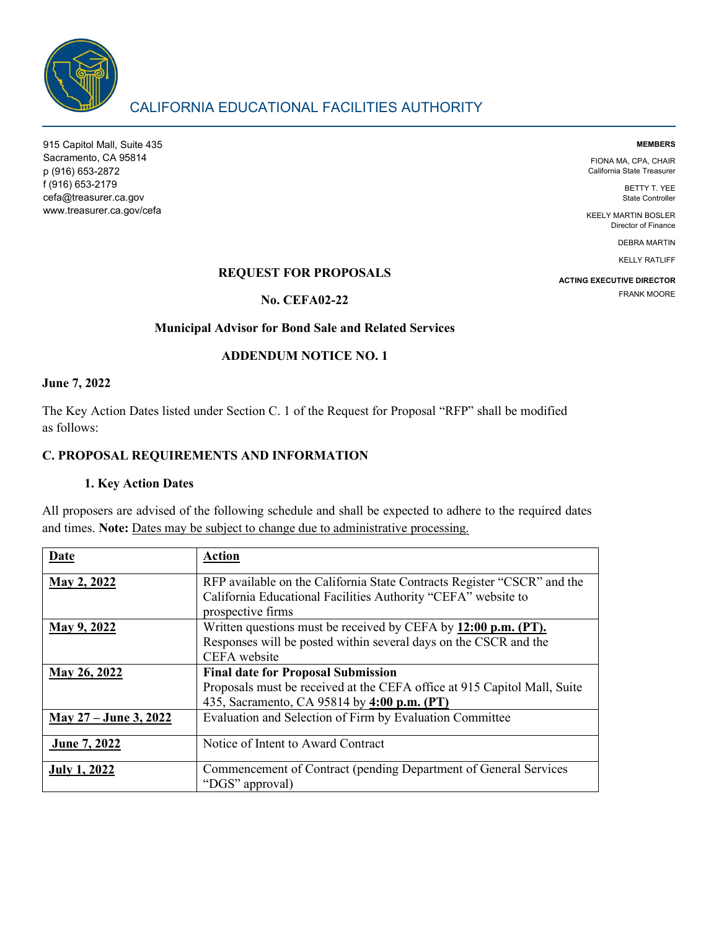

## CALIFORNIA EDUCATIONAL FACILITIES AUTHORITY

915 Capitol Mall, Suite 435 Sacramento, CA 95814 p (916) 653-2872 f (916) 653-2179 cefa@treasurer.ca.gov www.treasurer.ca.gov/cefa

# **MEMBERS**

FIONA MA, CPA, CHAIR California State Treasurer

> BETTY T. YEE State Controller

KEELY MARTIN BOSLER Director of Finance

DEBRA MARTIN

KELLY RATLIFF

**ACTING EXECUTIVE DIRECTOR**

[FRANK](mailto:rwashington@treasurer.ca.gov) MOORE

#### **REQUEST FOR PROPOSALS**

#### **No. CEFA02-22**

#### **Municipal Advisor for Bond Sale and Related Services**

### **ADDENDUM NOTICE NO. 1**

#### **June 7, 2022**

The Key Action Dates listed under Section C. 1 of the Request for Proposal "RFP" shall be modified as follows:

#### **C. PROPOSAL REQUIREMENTS AND INFORMATION**

#### **1. Key Action Dates**

All proposers are advised of the following schedule and shall be expected to adhere to the required dates and times. **Note:** Dates may be subject to change due to administrative processing.

| Date                  | <b>Action</b>                                                                                                                                                        |
|-----------------------|----------------------------------------------------------------------------------------------------------------------------------------------------------------------|
| May 2, 2022           | RFP available on the California State Contracts Register "CSCR" and the<br>California Educational Facilities Authority "CEFA" website to<br>prospective firms        |
| May 9, 2022           | Written questions must be received by CEFA by 12:00 p.m. (PT).<br>Responses will be posted within several days on the CSCR and the<br>CEFA website                   |
| May 26, 2022          | <b>Final date for Proposal Submission</b><br>Proposals must be received at the CEFA office at 915 Capitol Mall, Suite<br>435, Sacramento, CA 95814 by 4:00 p.m. (PT) |
| May 27 – June 3, 2022 | Evaluation and Selection of Firm by Evaluation Committee                                                                                                             |
| June 7, 2022          | Notice of Intent to Award Contract                                                                                                                                   |
| <b>July 1, 2022</b>   | Commencement of Contract (pending Department of General Services<br>"DGS" approval)                                                                                  |